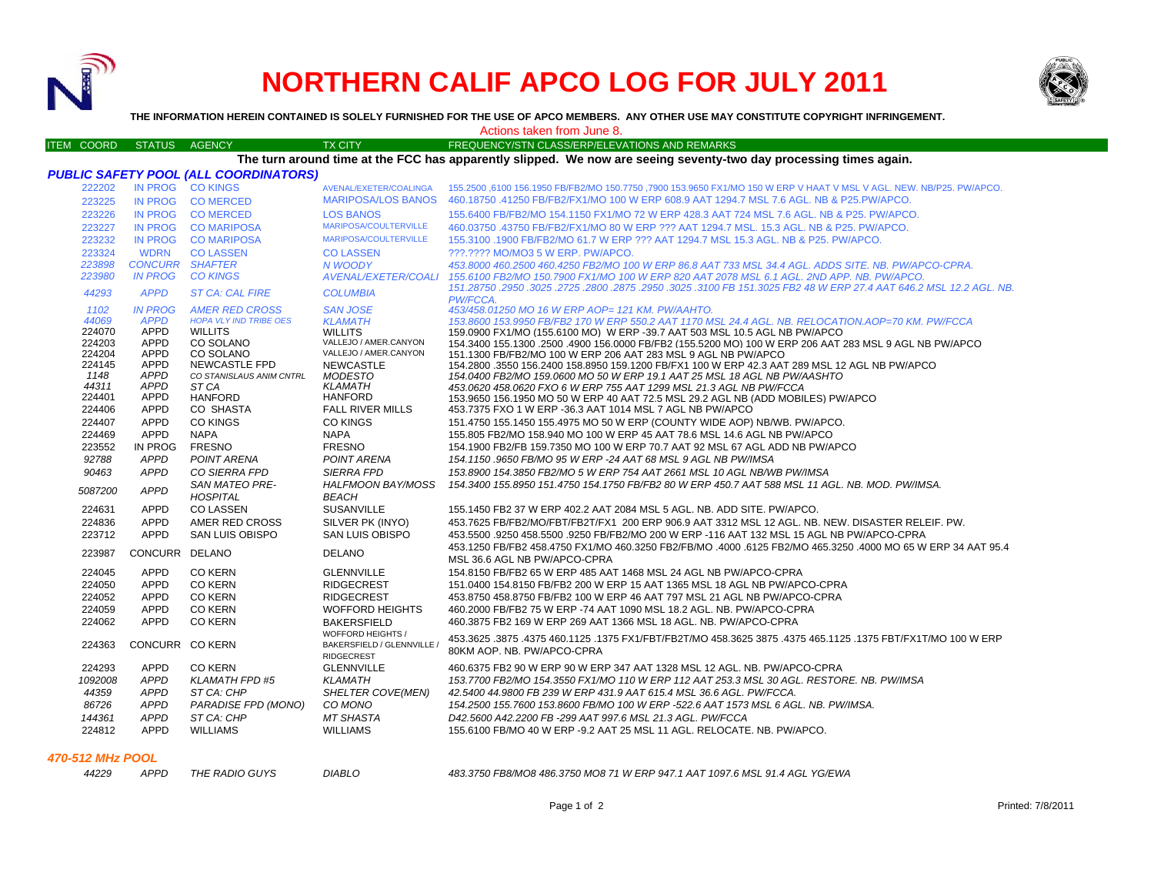

## **NORTHERN CALIF APCO LOG FOR JULY 2011**



**THE INFORMATION HEREIN CONTAINED IS SOLELY FURNISHED FOR THE USE OF APCO MEMBERS. ANY OTHER USE MAY CONSTITUTE COPYRIGHT INFRINGEMENT.**

Actions taken from June 8.

| <b>ITEM COORD</b>                                                                                                 | STATUS AGENCY          |                                              | <b>TX CITY</b>                                 | FREQUENCY/STN CLASS/ERP/ELEVATIONS AND REMARKS                                                                                                                 |  |  |  |  |  |  |
|-------------------------------------------------------------------------------------------------------------------|------------------------|----------------------------------------------|------------------------------------------------|----------------------------------------------------------------------------------------------------------------------------------------------------------------|--|--|--|--|--|--|
| The turn around time at the FCC has apparently slipped. We now are seeing seventy-two day processing times again. |                        |                                              |                                                |                                                                                                                                                                |  |  |  |  |  |  |
|                                                                                                                   |                        | <b>PUBLIC SAFETY POOL (ALL COORDINATORS)</b> |                                                |                                                                                                                                                                |  |  |  |  |  |  |
| 222202                                                                                                            |                        | IN PROG CO KINGS                             | AVENAL/EXETER/COALINGA                         | 155.2500 ,6100 156.1950 FB/FB2/MO 150.7750 ,7900 153.9650 FX1/MO 150 W ERP V HAAT V MSL V AGL. NEW. NB/P25. PW/APCO.                                           |  |  |  |  |  |  |
| 223225                                                                                                            |                        | IN PROG COMERCED                             | <b>MARIPOSA/LOS BANOS</b>                      | 460.18750 .41250 FB/FB2/FX1/MO 100 W ERP 608.9 AAT 1294.7 MSL 7.6 AGL. NB & P25.PW/APCO.                                                                       |  |  |  |  |  |  |
| 223226                                                                                                            | IN PROG                | <b>CO MERCED</b>                             | <b>LOS BANOS</b>                               | 155.6400 FB/FB2/MO 154.1150 FX1/MO 72 W ERP 428.3 AAT 724 MSL 7.6 AGL. NB & P25. PW/APCO.                                                                      |  |  |  |  |  |  |
| 223227                                                                                                            | <b>IN PROG</b>         | <b>CO MARIPOSA</b>                           | <b>MARIPOSA/COULTERVILLE</b>                   | 460.03750 .43750 FB/FB2/FX1/MO 80 W ERP ??? AAT 1294.7 MSL. 15.3 AGL. NB & P25. PW/APCO.                                                                       |  |  |  |  |  |  |
| 223232                                                                                                            | IN PROG                | <b>CO MARIPOSA</b>                           | <b>MARIPOSA/COULTERVILLE</b>                   | 155.3100 .1900 FB/FB2/MO 61.7 W ERP ??? AAT 1294.7 MSL 15.3 AGL. NB & P25. PW/APCO.                                                                            |  |  |  |  |  |  |
| 223324                                                                                                            | <b>WDRN</b>            | <b>CO LASSEN</b>                             | <b>CO LASSEN</b>                               | ???.???? MO/MO3 5 W ERP. PW/APCO.                                                                                                                              |  |  |  |  |  |  |
| 223898                                                                                                            | <b>CONCURR SHAFTER</b> |                                              | <b>N WOODY</b>                                 | 453.8000 460.2500 460.4250 FB2/MO 100 W ERP 86.8 AAT 733 MSL 34.4 AGL, ADDS SITE, NB, PW/APCO-CPRA.                                                            |  |  |  |  |  |  |
| 223980                                                                                                            | <b>IN PROG</b>         | <b>CO KINGS</b>                              | <b>AVENAL/EXETER/COALI</b>                     | 155.6100 FB2/MO 150.7900 FX1/MO 100 W ERP 820 AAT 2078 MSL 6.1 AGL, 2ND APP, NB, PW/APCO,                                                                      |  |  |  |  |  |  |
|                                                                                                                   |                        |                                              |                                                | 151.28750 .2950 .3025 .2725 .2800 .2875 .2950 .3025 .3100 FB 151.3025 FB2 48 W ERP 27.4 AAT 646.2 MSL 12.2 AGL. NB.                                            |  |  |  |  |  |  |
| 44293                                                                                                             | <b>APPD</b>            | <b>ST CA: CAL FIRE</b>                       | <b>COLUMBIA</b>                                | PW/FCCA.                                                                                                                                                       |  |  |  |  |  |  |
| 1102                                                                                                              | <b>IN PROG</b>         | <b>AMER RED CROSS</b>                        | <b>SAN JOSE</b>                                | 453/458.01250 MO 16 W ERP AOP= 121 KM, PW/AAHTO.                                                                                                               |  |  |  |  |  |  |
| 44069                                                                                                             | <b>APPD</b>            | <b>HOPA VLY IND TRIBE OES</b>                | <b>KLAMATH</b>                                 | 153.8600 153.9950 FB/FB2 170 W ERP 550.2 AAT 1170 MSL 24.4 AGL. NB. RELOCATION.AOP=70 KM. PW/FCCA                                                              |  |  |  |  |  |  |
| 224070                                                                                                            | <b>APPD</b>            | <b>WILLITS</b>                               | <b>WILLITS</b>                                 | 159.0900 FX1/MO (155.6100 MO) W ERP -39.7 AAT 503 MSL 10.5 AGL NB PW/APCO                                                                                      |  |  |  |  |  |  |
| 224203                                                                                                            | <b>APPD</b>            | CO SOLANO                                    | VALLEJO / AMER.CANYON<br>VALLEJO / AMER.CANYON | 154.3400 155.1300 .2500 .4900 156.0000 FB/FB2 (155.5200 MO) 100 W ERP 206 AAT 283 MSL 9 AGL NB PW/APCO                                                         |  |  |  |  |  |  |
| 224204<br>224145                                                                                                  | APPD<br><b>APPD</b>    | CO SOLANO<br><b>NEWCASTLE FPD</b>            | <b>NEWCASTLE</b>                               | 151.1300 FB/FB2/MO 100 W ERP 206 AAT 283 MSL 9 AGL NB PW/APCO<br>154.2800 .3550 156.2400 158.8950 159.1200 FB/FX1 100 W ERP 42.3 AAT 289 MSL 12 AGL NB PW/APCO |  |  |  |  |  |  |
| 1148                                                                                                              | <b>APPD</b>            | CO STANISLAUS ANIM CNTRL                     | <b>MODESTO</b>                                 | 154.0400 FB2/MO 159.0600 MO 50 W ERP 19.1 AAT 25 MSL 18 AGL NB PW/AASHTO                                                                                       |  |  |  |  |  |  |
| 44311                                                                                                             | <b>APPD</b>            | ST CA                                        | <b>KLAMATH</b>                                 | 453.0620 458.0620 FXO 6 W ERP 755 AAT 1299 MSL 21.3 AGL NB PW/FCCA                                                                                             |  |  |  |  |  |  |
| 224401                                                                                                            | <b>APPD</b>            | <b>HANFORD</b>                               | <b>HANFORD</b>                                 | 153.9650 156.1950 MO 50 W ERP 40 AAT 72.5 MSL 29.2 AGL NB (ADD MOBILES) PW/APCO                                                                                |  |  |  |  |  |  |
| 224406                                                                                                            | APPD                   | CO SHASTA                                    | <b>FALL RIVER MILLS</b>                        | 453.7375 FXO 1 W ERP -36.3 AAT 1014 MSL 7 AGL NB PW/APCO                                                                                                       |  |  |  |  |  |  |
| 224407                                                                                                            | <b>APPD</b>            | <b>CO KINGS</b>                              | <b>CO KINGS</b>                                | 151.4750 155.1450 155.4975 MO 50 W ERP (COUNTY WIDE AOP) NB/WB. PW/APCO.                                                                                       |  |  |  |  |  |  |
| 224469                                                                                                            | <b>APPD</b>            | <b>NAPA</b>                                  | <b>NAPA</b>                                    | 155,805 FB2/MO 158,940 MO 100 W ERP 45 AAT 78.6 MSL 14.6 AGL NB PW/APCO                                                                                        |  |  |  |  |  |  |
| 223552                                                                                                            | IN PROG                | <b>FRESNO</b>                                | <b>FRESNO</b>                                  | 154.1900 FB2/FB 159.7350 MO 100 W ERP 70.7 AAT 92 MSL 67 AGL ADD NB PW/APCO                                                                                    |  |  |  |  |  |  |
| 92788                                                                                                             | <b>APPD</b>            | POINT ARENA                                  | POINT ARENA                                    | 154.1150.9650 FB/MO 95 W ERP -24 AAT 68 MSL 9 AGL NB PW/IMSA                                                                                                   |  |  |  |  |  |  |
| 90463                                                                                                             | <b>APPD</b>            | CO SIERRA FPD                                | <b>SIERRA FPD</b>                              | 153.8900 154.3850 FB2/MO 5 W ERP 754 AAT 2661 MSL 10 AGL NB/WB PW/IMSA                                                                                         |  |  |  |  |  |  |
|                                                                                                                   |                        | <b>SAN MATEO PRE-</b>                        | HALFMOON BAY/MOSS                              | 154.3400 155.8950 151.4750 154.1750 FB/FB2 80 W ERP 450.7 AAT 588 MSL 11 AGL. NB. MOD. PW/IMSA.                                                                |  |  |  |  |  |  |
| 5087200                                                                                                           | <b>APPD</b>            | <b>HOSPITAL</b>                              | <b>BEACH</b>                                   |                                                                                                                                                                |  |  |  |  |  |  |
| 224631                                                                                                            | APPD                   | <b>CO LASSEN</b>                             | <b>SUSANVILLE</b>                              | 155.1450 FB2 37 W ERP 402.2 AAT 2084 MSL 5 AGL. NB. ADD SITE. PW/APCO.                                                                                         |  |  |  |  |  |  |
| 224836                                                                                                            | <b>APPD</b>            | AMER RED CROSS                               | SILVER PK (INYO)                               | 453.7625 FB/FB2/MO/FBT/FB2T/FX1 200 ERP 906.9 AAT 3312 MSL 12 AGL. NB. NEW. DISASTER RELEIF. PW.                                                               |  |  |  |  |  |  |
| 223712                                                                                                            | APPD                   | <b>SAN LUIS OBISPO</b>                       | <b>SAN LUIS OBISPO</b>                         | 453.5500 .9250 458.5500 .9250 FB/FB2/MO 200 W ERP -116 AAT 132 MSL 15 AGL NB PW/APCO-CPRA                                                                      |  |  |  |  |  |  |
|                                                                                                                   |                        |                                              |                                                | 453.1250 FB/FB2 458.4750 FX1/MO 460.3250 FB2/FB/MO .4000 .6125 FB2/MO 465.3250 .4000 MO 65 W ERP 34 AAT 95.4                                                   |  |  |  |  |  |  |
| 223987                                                                                                            | CONCURR DELANO         |                                              | <b>DELANO</b>                                  | MSL 36.6 AGL NB PW/APCO-CPRA                                                                                                                                   |  |  |  |  |  |  |
| 224045                                                                                                            | <b>APPD</b>            | <b>CO KERN</b>                               | <b>GLENNVILLE</b>                              | 154.8150 FB/FB2 65 W ERP 485 AAT 1468 MSL 24 AGL NB PW/APCO-CPRA                                                                                               |  |  |  |  |  |  |
| 224050                                                                                                            | APPD                   | <b>CO KERN</b>                               | <b>RIDGECREST</b>                              | 151.0400 154.8150 FB/FB2 200 W ERP 15 AAT 1365 MSL 18 AGL NB PW/APCO-CPRA                                                                                      |  |  |  |  |  |  |
| 224052                                                                                                            | <b>APPD</b>            | <b>CO KERN</b>                               | <b>RIDGECREST</b>                              | 453.8750 458.8750 FB/FB2 100 W ERP 46 AAT 797 MSL 21 AGL NB PW/APCO-CPRA                                                                                       |  |  |  |  |  |  |
| 224059                                                                                                            | <b>APPD</b>            | <b>CO KERN</b>                               | <b>WOFFORD HEIGHTS</b>                         | 460.2000 FB/FB2 75 W ERP -74 AAT 1090 MSL 18.2 AGL, NB, PW/APCO-CPRA                                                                                           |  |  |  |  |  |  |
| 224062                                                                                                            | <b>APPD</b>            | <b>CO KERN</b>                               | <b>BAKERSFIELD</b>                             | 460.3875 FB2 169 W ERP 269 AAT 1366 MSL 18 AGL, NB, PW/APCO-CPRA                                                                                               |  |  |  |  |  |  |
|                                                                                                                   |                        |                                              | WOFFORD HEIGHTS /                              |                                                                                                                                                                |  |  |  |  |  |  |
| 224363                                                                                                            | CONCURR CO KERN        |                                              | BAKERSFIELD / GLENNVILLE /                     | 453.3625 .3875 .3875 .3875 .3875 .4375 465.1125 .3875 .4375 FX1/FBT/FB2T/MO 458.3625 3875 .4375 465.1125 .1375 FBT/FX1T/MO 100 W ERP                           |  |  |  |  |  |  |
|                                                                                                                   |                        |                                              | <b>RIDGECREST</b>                              | 80KM AOP. NB. PW/APCO-CPRA                                                                                                                                     |  |  |  |  |  |  |
| 224293                                                                                                            | <b>APPD</b>            | <b>CO KERN</b>                               | <b>GLENNVILLE</b>                              | 460.6375 FB2 90 W ERP 90 W ERP 347 AAT 1328 MSL 12 AGL, NB, PW/APCO-CPRA                                                                                       |  |  |  |  |  |  |
| 1092008                                                                                                           | <b>APPD</b>            | <b>KLAMATH FPD #5</b>                        | <b>KLAMATH</b>                                 | 153.7700 FB2/MO 154.3550 FX1/MO 110 W ERP 112 AAT 253.3 MSL 30 AGL. RESTORE. NB. PW/IMSA                                                                       |  |  |  |  |  |  |
| 44359                                                                                                             | <b>APPD</b>            | ST CA: CHP                                   | SHELTER COVE(MEN)                              | 42.5400 44.9800 FB 239 W ERP 431.9 AAT 615.4 MSL 36.6 AGL, PW/FCCA.                                                                                            |  |  |  |  |  |  |
| 86726                                                                                                             | <b>APPD</b>            | PARADISE FPD (MONO)                          | CO MONO                                        | 154.2500 155.7600 153.8600 FB/MO 100 W ERP -522.6 AAT 1573 MSL 6 AGL. NB. PW/IMSA.                                                                             |  |  |  |  |  |  |
| 144361                                                                                                            | <b>APPD</b>            | ST CA: CHP                                   | <b>MT SHASTA</b>                               | D42.5600 A42.2200 FB -299 AAT 997.6 MSL 21.3 AGL. PW/FCCA                                                                                                      |  |  |  |  |  |  |
| 224812                                                                                                            | <b>APPD</b>            | <b>WILLIAMS</b>                              | <b>WILLIAMS</b>                                | 155.6100 FB/MO 40 W ERP -9.2 AAT 25 MSL 11 AGL. RELOCATE. NB. PW/APCO.                                                                                         |  |  |  |  |  |  |
|                                                                                                                   |                        |                                              |                                                |                                                                                                                                                                |  |  |  |  |  |  |

## *470-512 MHz POOL*

| 4229 | <b>APPD</b> | Tı |
|------|-------------|----|

*44229 APPD THE RADIO GUYS DIABLO 483.3750 FB8/MO8 486.3750 MO8 71 W ERP 947.1 AAT 1097.6 MSL 91.4 AGL YG/EWA*